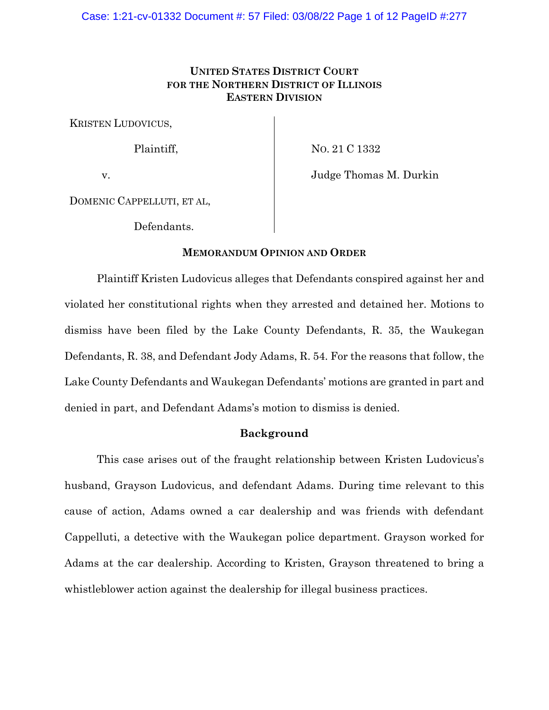# **UNITED STATES DISTRICT COURT FOR THE NORTHERN DISTRICT OF ILLINOIS EASTERN DIVISION**

KRISTEN LUDOVICUS,

Plaintiff,

NO. 21 C 1332

v.

Judge Thomas M. Durkin

DOMENIC CAPPELLUTI, ET AL,

Defendants.

## **MEMORANDUM OPINION AND ORDER**

Plaintiff Kristen Ludovicus alleges that Defendants conspired against her and violated her constitutional rights when they arrested and detained her. Motions to dismiss have been filed by the Lake County Defendants, R. 35, the Waukegan Defendants, R. 38, and Defendant Jody Adams, R. 54. For the reasons that follow, the Lake County Defendants and Waukegan Defendants' motions are granted in part and denied in part, and Defendant Adams's motion to dismiss is denied.

## **Background**

This case arises out of the fraught relationship between Kristen Ludovicus's husband, Grayson Ludovicus, and defendant Adams. During time relevant to this cause of action, Adams owned a car dealership and was friends with defendant Cappelluti, a detective with the Waukegan police department. Grayson worked for Adams at the car dealership. According to Kristen, Grayson threatened to bring a whistleblower action against the dealership for illegal business practices.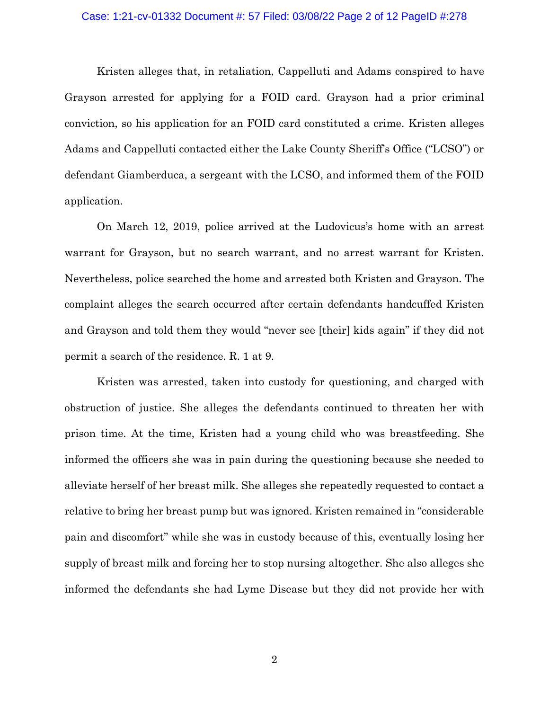## Case: 1:21-cv-01332 Document #: 57 Filed: 03/08/22 Page 2 of 12 PageID #:278

Kristen alleges that, in retaliation, Cappelluti and Adams conspired to have Grayson arrested for applying for a FOID card. Grayson had a prior criminal conviction, so his application for an FOID card constituted a crime. Kristen alleges Adams and Cappelluti contacted either the Lake County Sheriff's Office ("LCSO") or defendant Giamberduca, a sergeant with the LCSO, and informed them of the FOID application.

On March 12, 2019, police arrived at the Ludovicus's home with an arrest warrant for Grayson, but no search warrant, and no arrest warrant for Kristen. Nevertheless, police searched the home and arrested both Kristen and Grayson. The complaint alleges the search occurred after certain defendants handcuffed Kristen and Grayson and told them they would "never see [their] kids again" if they did not permit a search of the residence. R. 1 at 9.

Kristen was arrested, taken into custody for questioning, and charged with obstruction of justice. She alleges the defendants continued to threaten her with prison time. At the time, Kristen had a young child who was breastfeeding. She informed the officers she was in pain during the questioning because she needed to alleviate herself of her breast milk. She alleges she repeatedly requested to contact a relative to bring her breast pump but was ignored. Kristen remained in "considerable pain and discomfort" while she was in custody because of this, eventually losing her supply of breast milk and forcing her to stop nursing altogether. She also alleges she informed the defendants she had Lyme Disease but they did not provide her with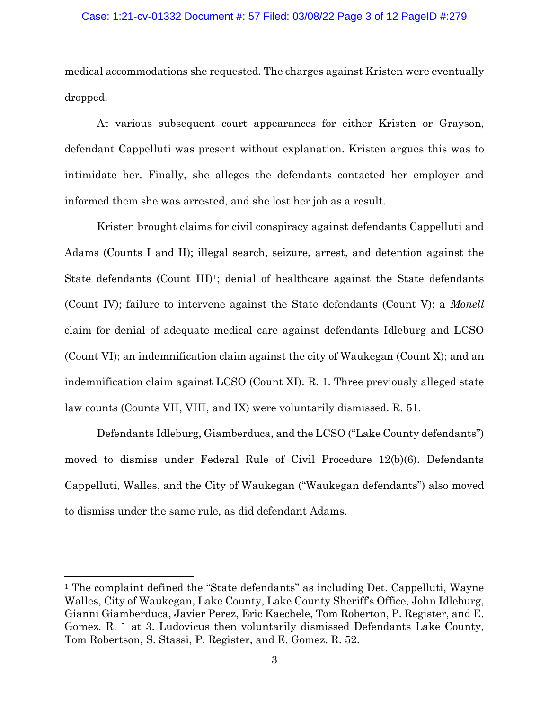#### Case: 1:21-cv-01332 Document #: 57 Filed: 03/08/22 Page 3 of 12 PageID #:279

medical accommodations she requested. The charges against Kristen were eventually dropped.

At various subsequent court appearances for either Kristen or Grayson, defendant Cappelluti was present without explanation. Kristen argues this was to intimidate her. Finally, she alleges the defendants contacted her employer and informed them she was arrested, and she lost her job as a result.

Kristen brought claims for civil conspiracy against defendants Cappelluti and Adams (Counts I and II); illegal search, seizure, arrest, and detention against the State defendants (Count III)<sup>1</sup>; denial of healthcare against the State defendants (Count IV); failure to intervene against the State defendants (Count V); a *Monell*  claim for denial of adequate medical care against defendants Idleburg and LCSO (Count VI); an indemnification claim against the city of Waukegan (Count X); and an indemnification claim against LCSO (Count XI). R. 1. Three previously alleged state law counts (Counts VII, VIII, and IX) were voluntarily dismissed. R. 51.

Defendants Idleburg, Giamberduca, and the LCSO ("Lake County defendants") moved to dismiss under Federal Rule of Civil Procedure 12(b)(6). Defendants Cappelluti, Walles, and the City of Waukegan ("Waukegan defendants") also moved to dismiss under the same rule, as did defendant Adams.

<sup>&</sup>lt;sup>1</sup> The complaint defined the "State defendants" as including Det. Cappelluti, Wayne Walles, City of Waukegan, Lake County, Lake County Sheriff's Office, John Idleburg, Gianni Giamberduca, Javier Perez, Eric Kaechele, Tom Roberton, P. Register, and E. Gomez. R. 1 at 3. Ludovicus then voluntarily dismissed Defendants Lake County, Tom Robertson, S. Stassi, P. Register, and E. Gomez. R. 52.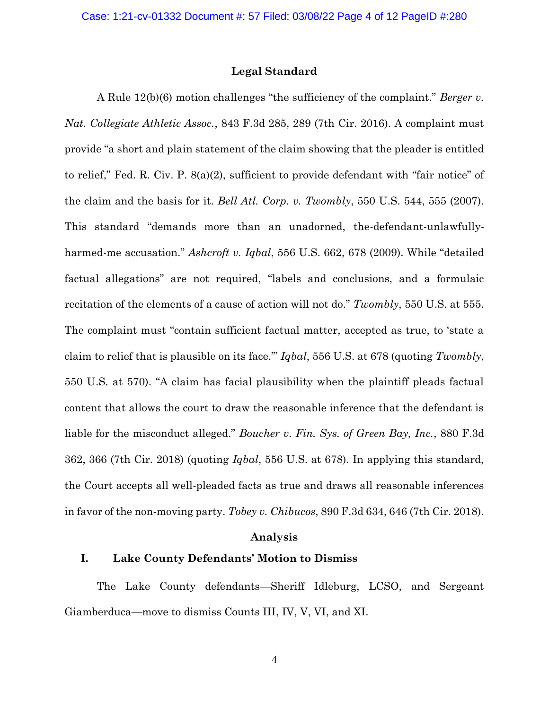## **Legal Standard**

A Rule 12(b)(6) motion challenges "the sufficiency of the complaint." *Berger v. Nat. Collegiate Athletic Assoc.*, 843 F.3d 285, 289 (7th Cir. 2016). A complaint must provide "a short and plain statement of the claim showing that the pleader is entitled to relief," Fed. R. Civ. P.  $8(a)(2)$ , sufficient to provide defendant with "fair notice" of the claim and the basis for it. *Bell Atl. Corp. v. Twombly*, 550 U.S. 544, 555 (2007). This standard "demands more than an unadorned, the-defendant-unlawfullyharmed-me accusation." *Ashcroft v. Iqbal*, 556 U.S. 662, 678 (2009). While "detailed factual allegations" are not required, "labels and conclusions, and a formulaic recitation of the elements of a cause of action will not do." *Twombly*, 550 U.S. at 555. The complaint must "contain sufficient factual matter, accepted as true, to 'state a claim to relief that is plausible on its face.'" *Iqbal*, 556 U.S. at 678 (quoting *Twombly*, 550 U.S. at 570). "A claim has facial plausibility when the plaintiff pleads factual content that allows the court to draw the reasonable inference that the defendant is liable for the misconduct alleged." *Boucher v. Fin. Sys. of Green Bay, Inc.*, 880 F.3d 362, 366 (7th Cir. 2018) (quoting *Iqbal*, 556 U.S. at 678). In applying this standard, the Court accepts all well-pleaded facts as true and draws all reasonable inferences in favor of the non-moving party. *Tobey v. Chibucos*, 890 F.3d 634, 646 (7th Cir. 2018).

### **Analysis**

# **I. Lake County Defendants' Motion to Dismiss**

The Lake County defendants—Sheriff Idleburg, LCSO, and Sergeant Giamberduca—move to dismiss Counts III, IV, V, VI, and XI.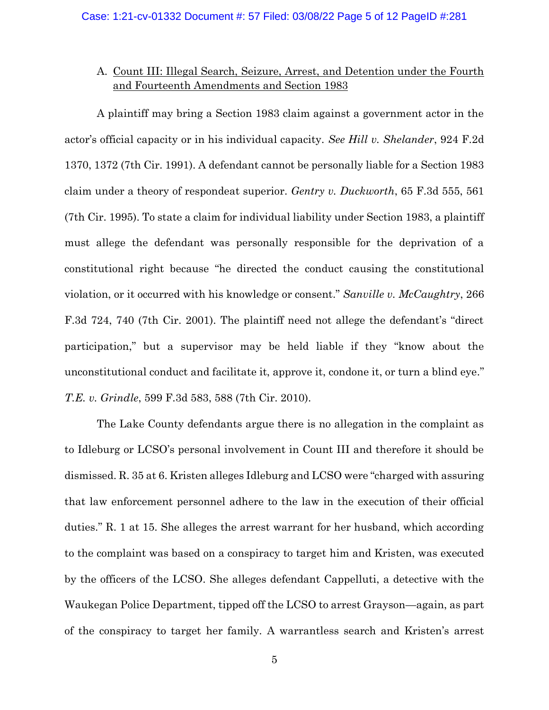# A. Count III: Illegal Search, Seizure, Arrest, and Detention under the Fourth and Fourteenth Amendments and Section 1983

A plaintiff may bring a Section 1983 claim against a government actor in the actor's official capacity or in his individual capacity. *See Hill v. Shelander*, 924 F.2d 1370, 1372 (7th Cir. 1991). A defendant cannot be personally liable for a Section 1983 claim under a theory of respondeat superior. *Gentry v. Duckworth*, 65 F.3d 555, 561 (7th Cir. 1995). To state a claim for individual liability under Section 1983, a plaintiff must allege the defendant was personally responsible for the deprivation of a constitutional right because "he directed the conduct causing the constitutional violation, or it occurred with his knowledge or consent." *Sanville v. McCaughtry*, 266 F.3d 724, 740 (7th Cir. 2001). The plaintiff need not allege the defendant's "direct participation," but a supervisor may be held liable if they "know about the unconstitutional conduct and facilitate it, approve it, condone it, or turn a blind eye." *T.E. v. Grindle*, 599 F.3d 583, 588 (7th Cir. 2010).

The Lake County defendants argue there is no allegation in the complaint as to Idleburg or LCSO's personal involvement in Count III and therefore it should be dismissed. R. 35 at 6. Kristen alleges Idleburg and LCSO were "charged with assuring that law enforcement personnel adhere to the law in the execution of their official duties." R. 1 at 15. She alleges the arrest warrant for her husband, which according to the complaint was based on a conspiracy to target him and Kristen, was executed by the officers of the LCSO. She alleges defendant Cappelluti, a detective with the Waukegan Police Department, tipped off the LCSO to arrest Grayson—again, as part of the conspiracy to target her family. A warrantless search and Kristen's arrest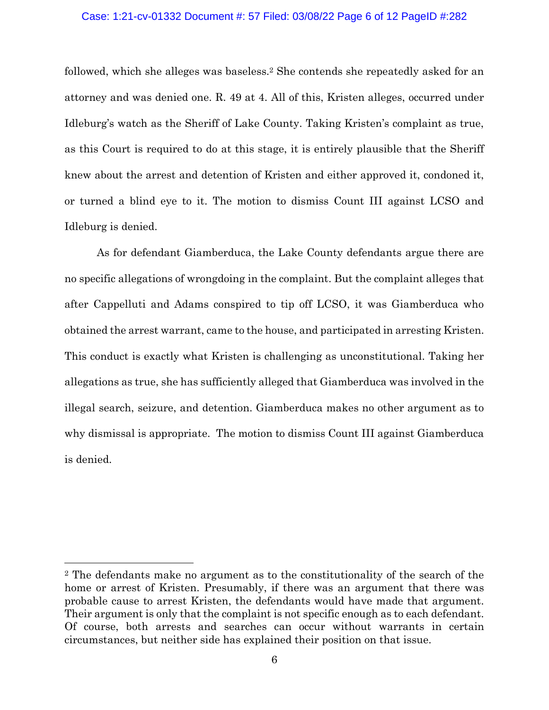#### Case: 1:21-cv-01332 Document #: 57 Filed: 03/08/22 Page 6 of 12 PageID #:282

followed, which she alleges was baseless.<sup>2</sup> She contends she repeatedly asked for an attorney and was denied one. R. 49 at 4. All of this, Kristen alleges, occurred under Idleburg's watch as the Sheriff of Lake County. Taking Kristen's complaint as true, as this Court is required to do at this stage, it is entirely plausible that the Sheriff knew about the arrest and detention of Kristen and either approved it, condoned it, or turned a blind eye to it. The motion to dismiss Count III against LCSO and Idleburg is denied.

As for defendant Giamberduca, the Lake County defendants argue there are no specific allegations of wrongdoing in the complaint. But the complaint alleges that after Cappelluti and Adams conspired to tip off LCSO, it was Giamberduca who obtained the arrest warrant, came to the house, and participated in arresting Kristen. This conduct is exactly what Kristen is challenging as unconstitutional. Taking her allegations as true, she has sufficiently alleged that Giamberduca was involved in the illegal search, seizure, and detention. Giamberduca makes no other argument as to why dismissal is appropriate. The motion to dismiss Count III against Giamberduca is denied.

<sup>2</sup> The defendants make no argument as to the constitutionality of the search of the home or arrest of Kristen. Presumably, if there was an argument that there was probable cause to arrest Kristen, the defendants would have made that argument. Their argument is only that the complaint is not specific enough as to each defendant. Of course, both arrests and searches can occur without warrants in certain circumstances, but neither side has explained their position on that issue.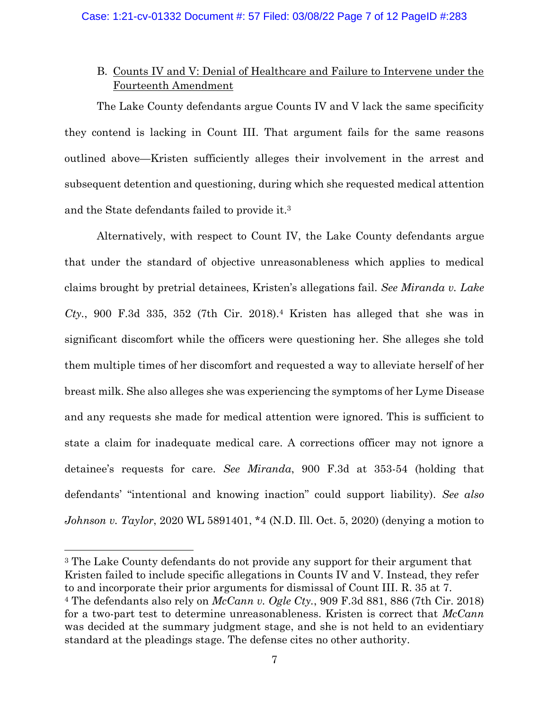# B. Counts IV and V: Denial of Healthcare and Failure to Intervene under the Fourteenth Amendment

The Lake County defendants argue Counts IV and V lack the same specificity they contend is lacking in Count III. That argument fails for the same reasons outlined above—Kristen sufficiently alleges their involvement in the arrest and subsequent detention and questioning, during which she requested medical attention and the State defendants failed to provide it. 3

Alternatively, with respect to Count IV, the Lake County defendants argue that under the standard of objective unreasonableness which applies to medical claims brought by pretrial detainees, Kristen's allegations fail. *See Miranda v. Lake Cty.*, 900 F.3d 335, 352 (7th Cir. 2018).<sup>4</sup> Kristen has alleged that she was in significant discomfort while the officers were questioning her. She alleges she told them multiple times of her discomfort and requested a way to alleviate herself of her breast milk. She also alleges she was experiencing the symptoms of her Lyme Disease and any requests she made for medical attention were ignored. This is sufficient to state a claim for inadequate medical care. A corrections officer may not ignore a detainee's requests for care. *See Miranda*, 900 F.3d at 353-54 (holding that defendants' "intentional and knowing inaction" could support liability). *See also Johnson v. Taylor*, 2020 WL 5891401, \*4 (N.D. Ill. Oct. 5, 2020) (denying a motion to

<sup>3</sup> The Lake County defendants do not provide any support for their argument that Kristen failed to include specific allegations in Counts IV and V. Instead, they refer to and incorporate their prior arguments for dismissal of Count III. R. 35 at 7. <sup>4</sup> The defendants also rely on *McCann v. Ogle Cty.*, 909 F.3d 881, 886 (7th Cir. 2018) for a two-part test to determine unreasonableness. Kristen is correct that *McCann* was decided at the summary judgment stage, and she is not held to an evidentiary standard at the pleadings stage. The defense cites no other authority.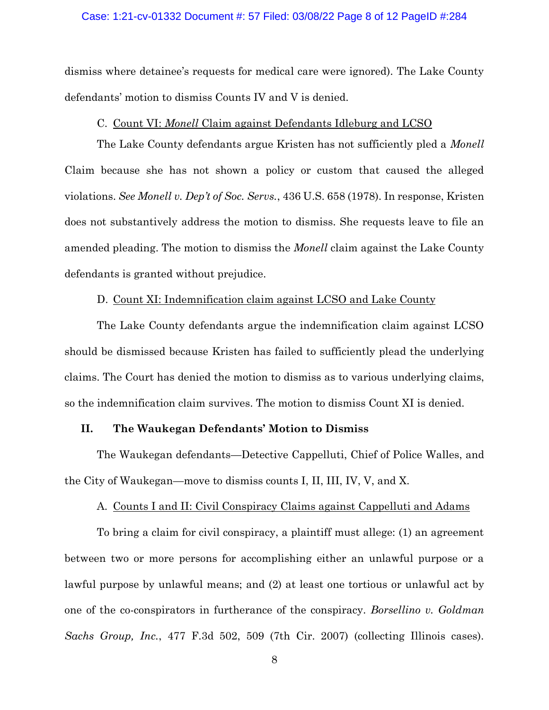#### Case: 1:21-cv-01332 Document #: 57 Filed: 03/08/22 Page 8 of 12 PageID #:284

dismiss where detainee's requests for medical care were ignored). The Lake County defendants' motion to dismiss Counts IV and V is denied.

### C. Count VI: *Monell* Claim against Defendants Idleburg and LCSO

The Lake County defendants argue Kristen has not sufficiently pled a *Monell* Claim because she has not shown a policy or custom that caused the alleged violations. *See Monell v. Dep't of Soc. Servs.*, 436 U.S. 658 (1978). In response, Kristen does not substantively address the motion to dismiss. She requests leave to file an amended pleading. The motion to dismiss the *Monell* claim against the Lake County defendants is granted without prejudice.

## D. Count XI: Indemnification claim against LCSO and Lake County

The Lake County defendants argue the indemnification claim against LCSO should be dismissed because Kristen has failed to sufficiently plead the underlying claims. The Court has denied the motion to dismiss as to various underlying claims, so the indemnification claim survives. The motion to dismiss Count XI is denied.

## **II. The Waukegan Defendants' Motion to Dismiss**

The Waukegan defendants—Detective Cappelluti, Chief of Police Walles, and the City of Waukegan—move to dismiss counts I, II, III, IV, V, and X.

#### A. Counts I and II: Civil Conspiracy Claims against Cappelluti and Adams

To bring a claim for civil conspiracy, a plaintiff must allege: (1) an agreement between two or more persons for accomplishing either an unlawful purpose or a lawful purpose by unlawful means; and (2) at least one tortious or unlawful act by one of the co-conspirators in furtherance of the conspiracy. *Borsellino v. Goldman Sachs Group, Inc.*, 477 F.3d 502, 509 (7th Cir. 2007) (collecting Illinois cases).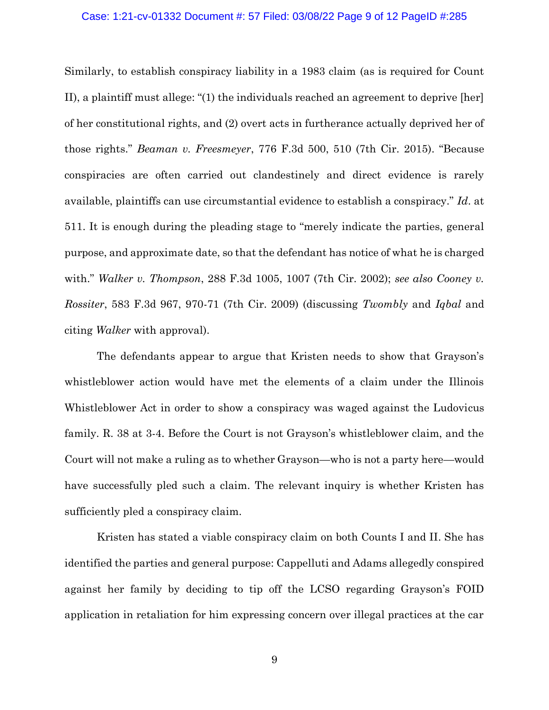## Case: 1:21-cv-01332 Document #: 57 Filed: 03/08/22 Page 9 of 12 PageID #:285

Similarly, to establish conspiracy liability in a 1983 claim (as is required for Count II), a plaintiff must allege: "(1) the individuals reached an agreement to deprive [her] of her constitutional rights, and (2) overt acts in furtherance actually deprived her of those rights." *Beaman v. Freesmeyer*, 776 F.3d 500, 510 (7th Cir. 2015). "Because conspiracies are often carried out clandestinely and direct evidence is rarely available, plaintiffs can use circumstantial evidence to establish a conspiracy." *Id*. at 511. It is enough during the pleading stage to "merely indicate the parties, general purpose, and approximate date, so that the defendant has notice of what he is charged with." *Walker v. Thompson*, 288 F.3d 1005, 1007 (7th Cir. 2002); *see also Cooney v. Rossiter*, 583 F.3d 967, 970-71 (7th Cir. 2009) (discussing *Twombly* and *Iqbal* and citing *Walker* with approval).

The defendants appear to argue that Kristen needs to show that Grayson's whistleblower action would have met the elements of a claim under the Illinois Whistleblower Act in order to show a conspiracy was waged against the Ludovicus family. R. 38 at 3-4. Before the Court is not Grayson's whistleblower claim, and the Court will not make a ruling as to whether Grayson—who is not a party here—would have successfully pled such a claim. The relevant inquiry is whether Kristen has sufficiently pled a conspiracy claim.

Kristen has stated a viable conspiracy claim on both Counts I and II. She has identified the parties and general purpose: Cappelluti and Adams allegedly conspired against her family by deciding to tip off the LCSO regarding Grayson's FOID application in retaliation for him expressing concern over illegal practices at the car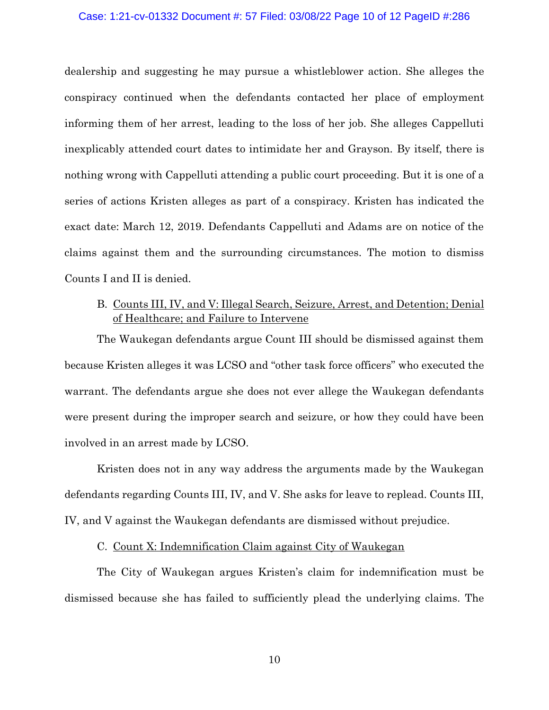#### Case: 1:21-cv-01332 Document #: 57 Filed: 03/08/22 Page 10 of 12 PageID #:286

dealership and suggesting he may pursue a whistleblower action. She alleges the conspiracy continued when the defendants contacted her place of employment informing them of her arrest, leading to the loss of her job. She alleges Cappelluti inexplicably attended court dates to intimidate her and Grayson. By itself, there is nothing wrong with Cappelluti attending a public court proceeding. But it is one of a series of actions Kristen alleges as part of a conspiracy. Kristen has indicated the exact date: March 12, 2019. Defendants Cappelluti and Adams are on notice of the claims against them and the surrounding circumstances. The motion to dismiss Counts I and II is denied.

# B. Counts III, IV, and V: Illegal Search, Seizure, Arrest, and Detention; Denial of Healthcare; and Failure to Intervene

The Waukegan defendants argue Count III should be dismissed against them because Kristen alleges it was LCSO and "other task force officers" who executed the warrant. The defendants argue she does not ever allege the Waukegan defendants were present during the improper search and seizure, or how they could have been involved in an arrest made by LCSO.

Kristen does not in any way address the arguments made by the Waukegan defendants regarding Counts III, IV, and V. She asks for leave to replead. Counts III, IV, and V against the Waukegan defendants are dismissed without prejudice.

## C. Count X: Indemnification Claim against City of Waukegan

The City of Waukegan argues Kristen's claim for indemnification must be dismissed because she has failed to sufficiently plead the underlying claims. The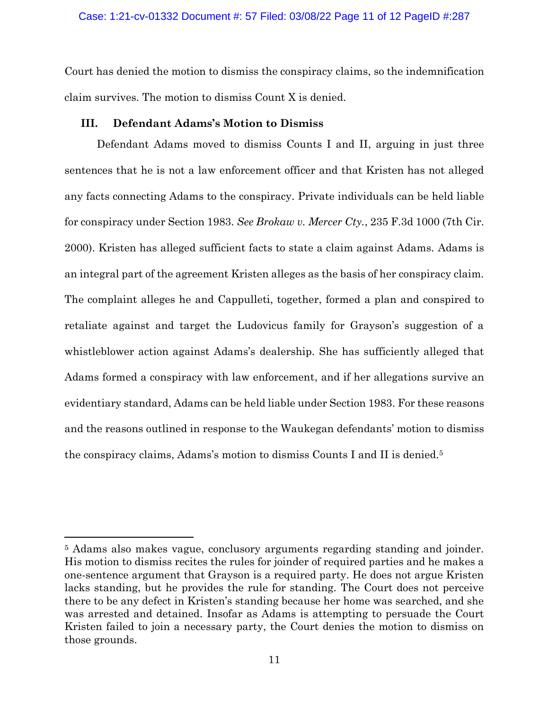Court has denied the motion to dismiss the conspiracy claims, so the indemnification claim survives. The motion to dismiss Count X is denied.

## **III. Defendant Adams's Motion to Dismiss**

Defendant Adams moved to dismiss Counts I and II, arguing in just three sentences that he is not a law enforcement officer and that Kristen has not alleged any facts connecting Adams to the conspiracy. Private individuals can be held liable for conspiracy under Section 1983. *See Brokaw v. Mercer Cty.*, 235 F.3d 1000 (7th Cir. 2000). Kristen has alleged sufficient facts to state a claim against Adams. Adams is an integral part of the agreement Kristen alleges as the basis of her conspiracy claim. The complaint alleges he and Cappulleti, together, formed a plan and conspired to retaliate against and target the Ludovicus family for Grayson's suggestion of a whistleblower action against Adams's dealership. She has sufficiently alleged that Adams formed a conspiracy with law enforcement, and if her allegations survive an evidentiary standard, Adams can be held liable under Section 1983. For these reasons and the reasons outlined in response to the Waukegan defendants' motion to dismiss the conspiracy claims, Adams's motion to dismiss Counts I and II is denied.<sup>5</sup>

<sup>5</sup> Adams also makes vague, conclusory arguments regarding standing and joinder. His motion to dismiss recites the rules for joinder of required parties and he makes a one-sentence argument that Grayson is a required party. He does not argue Kristen lacks standing, but he provides the rule for standing. The Court does not perceive there to be any defect in Kristen's standing because her home was searched, and she was arrested and detained. Insofar as Adams is attempting to persuade the Court Kristen failed to join a necessary party, the Court denies the motion to dismiss on those grounds.